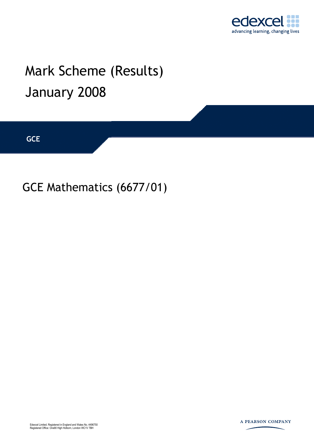

## Mark Scheme (Results) January 2008

**GCE** 

GCE Mathematics (6677/01)



A PEARSON COMPANY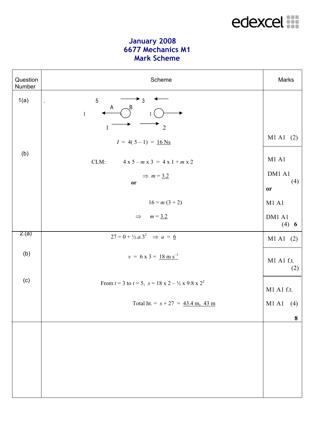## edexcel :::

## **January 2008 6677 Mechanics M1 Mark Scheme**

| Question<br>Number | Scheme                                                                          | Marks                              |
|--------------------|---------------------------------------------------------------------------------|------------------------------------|
| 1(a)               | $\sqrt{5}$<br>$\rightarrow$ 3<br>$\epsilon$<br>A<br>B<br>$\overline{1}$         |                                    |
| (b)                | $\frac{1}{2}$<br>1<br>$I = 4(5-1) = 16$ Ns                                      | M1 A1 (2)                          |
|                    | CLM:<br>$4 x 5 - m x 3 = 4 x 1 + m x 2$<br>$\Rightarrow$ m = 3.2<br>or          | M1A1<br>DM1 A1<br>(4)<br><b>or</b> |
|                    | $16 = m(3 + 2)$                                                                 | $M1$ Al                            |
|                    | $\Rightarrow$ $m = 3.2$                                                         | DM1 A1<br>(4) 6                    |
| 2.(a)              | $27 = 0 + \frac{1}{2}a.3^2 \implies a = 6$                                      | M1 A1 (2)                          |
| (b)                | $v = 6 \times 3 = 18 \text{ m s}^{-1}$                                          | M1 A1 f.t.<br>(2)                  |
| (c)                | From $t = 3$ to $t = 5$ , $s = 18 \times 2 - \frac{1}{2} \times 9.8 \times 2^2$ | M1 A1 f.t.                         |
|                    | Total ht. = $s + 27 = 43.4$ m, 43 m                                             | M1 A1 (4)                          |
|                    |                                                                                 | 8                                  |
|                    |                                                                                 |                                    |
|                    |                                                                                 |                                    |
|                    |                                                                                 |                                    |
|                    |                                                                                 |                                    |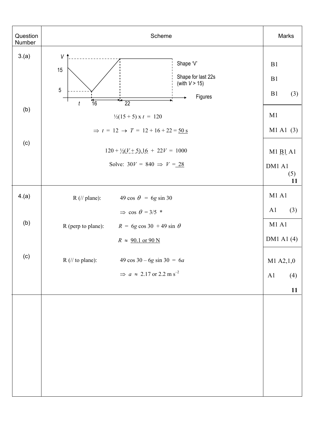| Question<br>Number | Scheme                                                                                                                               | Marks                                      |
|--------------------|--------------------------------------------------------------------------------------------------------------------------------------|--------------------------------------------|
| 3.(a)              | V<br>Shape 'V'<br>15<br>Shape for last 22s<br>(with $V > 15$ )<br>5<br>Figures<br>$\overline{16}$<br>$\mathbf{H}$<br>$\overline{22}$ | B1<br>B1<br>B1<br>(3)                      |
| (b)                | $\boldsymbol{t}$<br>$\frac{1}{2}(15+5)$ x t = 120<br>$\Rightarrow$ t = 12 $\rightarrow$ T = 12 + 16 + 22 = 50 s                      | M1<br>M1 A1 (3)                            |
| (c)                | $120 + \frac{1}{2}(V + 5) \cdot 16 + 22V = 1000$<br>Solve: $30V = 840 \Rightarrow V = 28$                                            |                                            |
| 4.(a)              | $R$ (// plane):<br>49 cos $\theta = 6g \sin 30$                                                                                      | M1A1                                       |
| (b)                | $\Rightarrow$ cos $\theta = 3/5$ *<br>R (perp to plane): $R = 6g \cos 30 + 49 \sin \theta$<br>$R \approx 90.1$ or 90 N               | A1<br>(3)<br>$M1$ Al<br>DM1 A1 $(4)$       |
| (c)                | $R$ (// to plane):<br>$49 \cos 30 - 6g \sin 30 = 6a$<br>$\Rightarrow$ a $\approx$ 2.17 or 2.2 m s <sup>-2</sup>                      | $M1$ A2,1,0<br>A <sub>1</sub><br>(4)<br>11 |
|                    |                                                                                                                                      |                                            |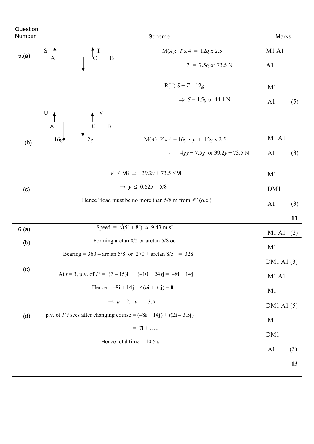| Question<br>Number | Scheme                                                                                             |                | Marks |  |
|--------------------|----------------------------------------------------------------------------------------------------|----------------|-------|--|
| 5.(a)              | S<br>$M(A)$ : $Tx 4 = 12gx 2.5$<br>$\frac{T}{C}$ B<br>$\Lambda$                                    | M1A1           |       |  |
|                    | $T = 7.5g$ or 73.5 N                                                                               | A1             |       |  |
|                    | $R(\uparrow) S + T = 12g$                                                                          | M1             |       |  |
|                    | $\Rightarrow$ S = 4.5g or 44.1 N                                                                   | A <sub>1</sub> | (5)   |  |
|                    | $\mathbf U$<br>$\mathbf{B}$<br>$\mathcal{C}$<br>$\mathbf{A}$                                       |                |       |  |
| (b)                | 16g<br>12g<br>$M(A)$ $V x 4 = 16g x y + 12g x 2.5$                                                 | <b>M1 A1</b>   |       |  |
|                    | $V = \frac{4gy + 7.5g}{20}$ or $\frac{39.2y + 73.5 \text{ N}}{20}$                                 | A <sub>1</sub> | (3)   |  |
|                    | $V \le 98 \implies 39.2y + 73.5 \le 98$                                                            | M1             |       |  |
| (c)                | $\Rightarrow$ y $\leq$ 0.625 = 5/8                                                                 | DM1            |       |  |
|                    | Hence "load must be no more than $5/8$ m from $A$ " (o.e.)                                         | A <sub>1</sub> | (3)   |  |
|                    |                                                                                                    |                | 11    |  |
| 6.(a)              | Speed = $\sqrt{(5^2 + 8^2)} \approx 9.43 \text{ m s}^{-1}$                                         | M1A1           | (2)   |  |
| (b)                | Forming arctan 8/5 or arctan 5/8 oe                                                                | M1             |       |  |
|                    | Bearing = 360 – arctan 5/8 or $270 + \arctan 8/5 = 328$                                            | DM1 A1 (3)     |       |  |
| (c)                | At $t = 3$ , p.v. of $P = (7 - 15)\mathbf{i} + (-10 + 24)\mathbf{j} = -8\mathbf{i} + 14\mathbf{j}$ | M1A1           |       |  |
|                    | Hence $-8i + 14j + 4(u + vj) = 0$                                                                  | M1             |       |  |
|                    | $\Rightarrow$ $u=2, v=-3.5$                                                                        | DM1 A1 (5)     |       |  |
| (d)                | p.v. of <i>P t</i> secs after changing course = $(-8i + 14j) + t(2i - 3.5j)$                       | M1             |       |  |
|                    | $= 7i + $                                                                                          | DM1            |       |  |
|                    | Hence total time = $10.5$ s                                                                        | A <sub>1</sub> | (3)   |  |
|                    |                                                                                                    |                | 13    |  |